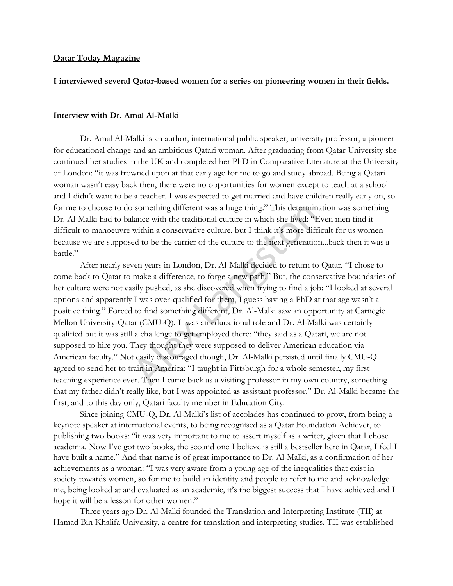## **Qatar Today Magazine**

# **I interviewed several Qatar-based women for a series on pioneering women in their fields.**

#### **Interview with Dr. Amal Al-Malki**

Dr. Amal Al-Malki is an author, international public speaker, university professor, a pioneer for educational change and an ambitious Qatari woman. After graduating from Qatar University she continued her studies in the UK and completed her PhD in Comparative Literature at the University of London: "it was frowned upon at that early age for me to go and study abroad. Being a Qatari woman wasn"t easy back then, there were no opportunities for women except to teach at a school and I didn"t want to be a teacher. I was expected to get married and have children really early on, so for me to choose to do something different was a huge thing." This determination was something Dr. Al-Malki had to balance with the traditional culture in which she lived: "Even men find it difficult to manoeuvre within a conservative culture, but I think it's more difficult for us women because we are supposed to be the carrier of the culture to the next generation...back then it was a battle."

After nearly seven years in London, Dr. Al-Malki decided to return to Qatar, "I chose to come back to Qatar to make a difference, to forge a new path." But, the conservative boundaries of her culture were not easily pushed, as she discovered when trying to find a job: "I looked at several options and apparently I was over-qualified for them, I guess having a PhD at that age wasn"t a positive thing." Forced to find something different, Dr. Al-Malki saw an opportunity at Carnegie Mellon University-Qatar (CMU-Q). It was an educational role and Dr. Al-Malki was certainly qualified but it was still a challenge to get employed there: "they said as a Qatari, we are not supposed to hire you. They thought they were supposed to deliver American education via American faculty." Not easily discouraged though, Dr. Al-Malki persisted until finally CMU-Q agreed to send her to train in America: "I taught in Pittsburgh for a whole semester, my first teaching experience ever. Then I came back as a visiting professor in my own country, something that my father didn"t really like, but I was appointed as assistant professor." Dr. Al-Malki became the first, and to this day only, Qatari faculty member in Education City. something different was a huge thing." This determine lance with the traditional culture in which she lived: "I within a conservative culture, but I think it's more diffed to be the carrier of the culture to the next gener

Since joining CMU-Q, Dr. Al-Malki's list of accolades has continued to grow, from being a keynote speaker at international events, to being recognised as a Qatar Foundation Achiever, to publishing two books: "it was very important to me to assert myself as a writer, given that I chose academia. Now I"ve got two books, the second one I believe is still a bestseller here in Qatar, I feel I have built a name." And that name is of great importance to Dr. Al-Malki, as a confirmation of her achievements as a woman: "I was very aware from a young age of the inequalities that exist in society towards women, so for me to build an identity and people to refer to me and acknowledge me, being looked at and evaluated as an academic, it's the biggest success that I have achieved and I hope it will be a lesson for other women."

Three years ago Dr. Al-Malki founded the Translation and Interpreting Institute (TII) at Hamad Bin Khalifa University, a centre for translation and interpreting studies. TII was established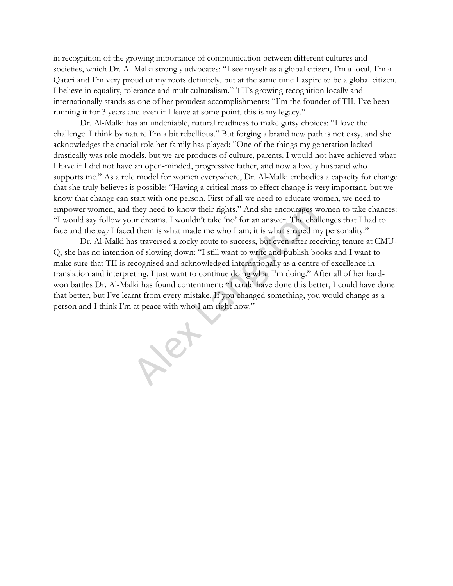in recognition of the growing importance of communication between different cultures and societies, which Dr. Al-Malki strongly advocates: "I see myself as a global citizen, I"m a local, I"m a Qatari and I"m very proud of my roots definitely, but at the same time I aspire to be a global citizen. I believe in equality, tolerance and multiculturalism." TII"s growing recognition locally and internationally stands as one of her proudest accomplishments: "I"m the founder of TII, I"ve been running it for 3 years and even if I leave at some point, this is my legacy."

Dr. Al-Malki has an undeniable, natural readiness to make gutsy choices: "I love the challenge. I think by nature I"m a bit rebellious." But forging a brand new path is not easy, and she acknowledges the crucial role her family has played: "One of the things my generation lacked drastically was role models, but we are products of culture, parents. I would not have achieved what I have if I did not have an open-minded, progressive father, and now a lovely husband who supports me." As a role model for women everywhere, Dr. Al-Malki embodies a capacity for change that she truly believes is possible: "Having a critical mass to effect change is very important, but we know that change can start with one person. First of all we need to educate women, we need to empower women, and they need to know their rights." And she encourages women to take chances: "I would say follow your dreams. I wouldn"t take "no" for an answer. The challenges that I had to face and the *way* I faced them is what made me who I am; it is what shaped my personality."

Dr. Al-Malki has traversed a rocky route to success, but even after receiving tenure at CMU-Q, she has no intention of slowing down: "I still want to write and publish books and I want to make sure that TII is recognised and acknowledged internationally as a centre of excellence in translation and interpreting. I just want to continue doing what I"m doing." After all of her hardwon battles Dr. Al-Malki has found contentment: "I could have done this better, I could have done that better, but I"ve learnt from every mistake. If you changed something, you would change as a person and I think I"m at peace with who I am right now." they need to know their rights." And she encourages werd reams. I wouldn't take 'no' for an answer. The chall them is what made me who I am; it is what shaped mas traversed a rocky route to success, but even after rector o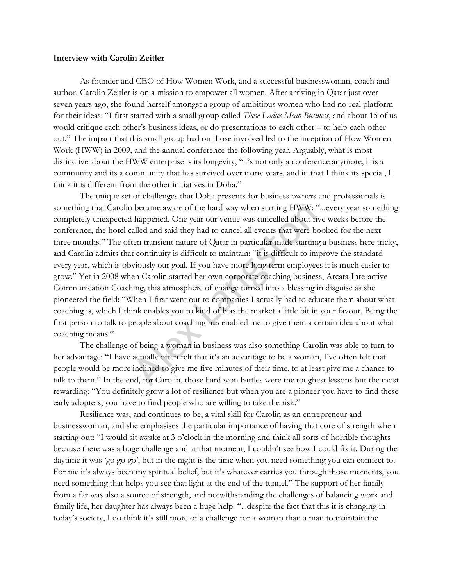### **Interview with Carolin Zeitler**

As founder and CEO of How Women Work, and a successful businesswoman, coach and author, Carolin Zeitler is on a mission to empower all women. After arriving in Qatar just over seven years ago, she found herself amongst a group of ambitious women who had no real platform for their ideas: "I first started with a small group called *These Ladies Mean Business*, and about 15 of us would critique each other"s business ideas, or do presentations to each other – to help each other out." The impact that this small group had on those involved led to the inception of How Women Work (HWW) in 2009, and the annual conference the following year. Arguably, what is most distinctive about the HWW enterprise is its longevity, "it's not only a conference anymore, it is a community and its a community that has survived over many years, and in that I think its special, I think it is different from the other initiatives in Doha."

The unique set of challenges that Doha presents for business owners and professionals is something that Carolin became aware of the hard way when starting HWW: "...every year something completely unexpected happened. One year our venue was cancelled about five weeks before the conference, the hotel called and said they had to cancel all events that were booked for the next three months!" The often transient nature of Qatar in particular made starting a business here tricky, and Carolin admits that continuity is difficult to maintain: "it is difficult to improve the standard every year, which is obviously our goal. If you have more long term employees it is much easier to grow." Yet in 2008 when Carolin started her own corporate coaching business, Arcata Interactive Communication Coaching, this atmosphere of change turned into a blessing in disguise as she pioneered the field: "When I first went out to companies I actually had to educate them about what coaching is, which I think enables you to kind of bias the market a little bit in your favour. Being the first person to talk to people about coaching has enabled me to give them a certain idea about what coaching means." became aware of the hard way when starting HWW: '<br>happened. One year our venue was cancelled about fr<br>alled and said they had to cancel all events that were be<br>ten transient nature of Qatar in particular made starting<br>t co

The challenge of being a woman in business was also something Carolin was able to turn to her advantage: "I have actually often felt that it's an advantage to be a woman, I've often felt that people would be more inclined to give me five minutes of their time, to at least give me a chance to talk to them." In the end, for Carolin, those hard won battles were the toughest lessons but the most rewarding: "You definitely grow a lot of resilience but when you are a pioneer you have to find these early adopters, you have to find people who are willing to take the risk."

Resilience was, and continues to be, a vital skill for Carolin as an entrepreneur and businesswoman, and she emphasises the particular importance of having that core of strength when starting out: "I would sit awake at 3 o'clock in the morning and think all sorts of horrible thoughts because there was a huge challenge and at that moment, I couldn"t see how I could fix it. During the daytime it was 'go go go', but in the night is the time when you need something you can connect to. For me it's always been my spiritual belief, but it's whatever carries you through those moments, you need something that helps you see that light at the end of the tunnel." The support of her family from a far was also a source of strength, and notwithstanding the challenges of balancing work and family life, her daughter has always been a huge help: "...despite the fact that this it is changing in today's society, I do think it's still more of a challenge for a woman than a man to maintain the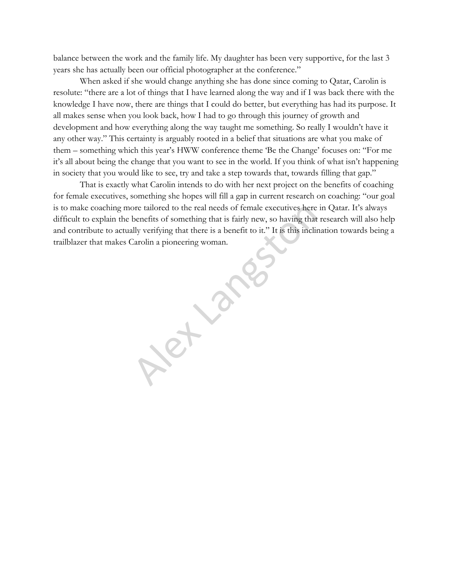balance between the work and the family life. My daughter has been very supportive, for the last 3 years she has actually been our official photographer at the conference."

When asked if she would change anything she has done since coming to Qatar, Carolin is resolute: "there are a lot of things that I have learned along the way and if I was back there with the knowledge I have now, there are things that I could do better, but everything has had its purpose. It all makes sense when you look back, how I had to go through this journey of growth and development and how everything along the way taught me something. So really I wouldn"t have it any other way." This certainty is arguably rooted in a belief that situations are what you make of them – something which this year"s HWW conference theme "Be the Change" focuses on: "For me it's all about being the change that you want to see in the world. If you think of what isn't happening in society that you would like to see, try and take a step towards that, towards filling that gap."

That is exactly what Carolin intends to do with her next project on the benefits of coaching for female executives, something she hopes will fill a gap in current research on coaching: "our goal is to make coaching more tailored to the real needs of female executives here in Qatar. It's always difficult to explain the benefits of something that is fairly new, so having that research will also help and contribute to actually verifying that there is a benefit to it." It is this inclination towards being a trailblazer that makes Carolin a pioneering woman.

benefits of something that is fairly new, so having that<br>benefits of something that is fairly new, so having that<br>ally verifying that there is a benefit to it." It is this incline<br>Carolin a pioneering woman.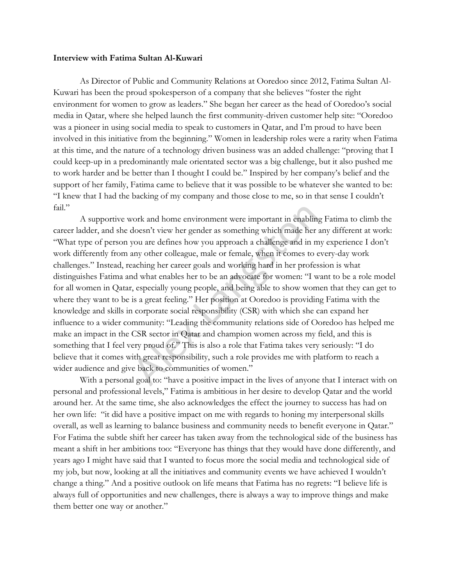#### **Interview with Fatima Sultan Al-Kuwari**

As Director of Public and Community Relations at Ooredoo since 2012, Fatima Sultan Al-Kuwari has been the proud spokesperson of a company that she believes "foster the right environment for women to grow as leaders." She began her career as the head of Ooredoo's social media in Qatar, where she helped launch the first community-driven customer help site: "Ooredoo was a pioneer in using social media to speak to customers in Qatar, and I"m proud to have been involved in this initiative from the beginning." Women in leadership roles were a rarity when Fatima at this time, and the nature of a technology driven business was an added challenge: "proving that I could keep-up in a predominantly male orientated sector was a big challenge, but it also pushed me to work harder and be better than I thought I could be." Inspired by her company"s belief and the support of her family, Fatima came to believe that it was possible to be whatever she wanted to be: "I knew that I had the backing of my company and those close to me, so in that sense I couldn"t fail."

A supportive work and home environment were important in enabling Fatima to climb the career ladder, and she doesn"t view her gender as something which made her any different at work: "What type of person you are defines how you approach a challenge and in my experience I don"t work differently from any other colleague, male or female, when it comes to every-day work challenges." Instead, reaching her career goals and working hard in her profession is what distinguishes Fatima and what enables her to be an advocate for women: "I want to be a role model for all women in Qatar, especially young people, and being able to show women that they can get to where they want to be is a great feeling." Her position at Ooredoo is providing Fatima with the knowledge and skills in corporate social responsibility (CSR) with which she can expand her influence to a wider community: "Leading the community relations side of Ooredoo has helped me make an impact in the CSR sector in Qatar and champion women across my field, and this is something that I feel very proud of." This is also a role that Fatima takes very seriously: "I do believe that it comes with great responsibility, such a role provides me with platform to reach a wider audience and give back to communities of women." rork and home environment were important in enablin<br>doesn't view her gender as something which made her<br>you are defines how you approach a challenge and in m<br>my other colleague, male or female, when it comes to to<br>aching h

With a personal goal to: "have a positive impact in the lives of anyone that I interact with on personal and professional levels," Fatima is ambitious in her desire to develop Qatar and the world around her. At the same time, she also acknowledges the effect the journey to success has had on her own life: "it did have a positive impact on me with regards to honing my interpersonal skills overall, as well as learning to balance business and community needs to benefit everyone in Qatar." For Fatima the subtle shift her career has taken away from the technological side of the business has meant a shift in her ambitions too: "Everyone has things that they would have done differently, and years ago I might have said that I wanted to focus more the social media and technological side of my job, but now, looking at all the initiatives and community events we have achieved I wouldn"t change a thing." And a positive outlook on life means that Fatima has no regrets: "I believe life is always full of opportunities and new challenges, there is always a way to improve things and make them better one way or another."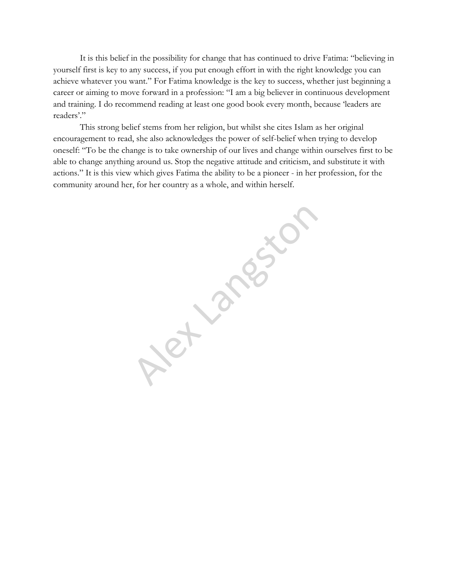It is this belief in the possibility for change that has continued to drive Fatima: "believing in yourself first is key to any success, if you put enough effort in with the right knowledge you can achieve whatever you want." For Fatima knowledge is the key to success, whether just beginning a career or aiming to move forward in a profession: "I am a big believer in continuous development and training. I do recommend reading at least one good book every month, because "leaders are readers'."

This strong belief stems from her religion, but whilst she cites Islam as her original encouragement to read, she also acknowledges the power of self-belief when trying to develop oneself: "To be the change is to take ownership of our lives and change within ourselves first to be able to change anything around us. Stop the negative attitude and criticism, and substitute it with actions." It is this view which gives Fatima the ability to be a pioneer - in her profession, for the community around her, for her country as a whole, and within herself.

Alexander Landsch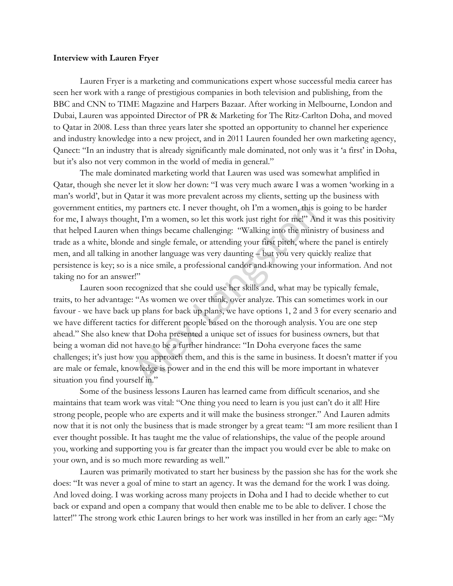### **Interview with Lauren Fryer**

Lauren Fryer is a marketing and communications expert whose successful media career has seen her work with a range of prestigious companies in both television and publishing, from the BBC and CNN to TIME Magazine and Harpers Bazaar. After working in Melbourne, London and Dubai, Lauren was appointed Director of PR & Marketing for The Ritz-Carlton Doha, and moved to Qatar in 2008. Less than three years later she spotted an opportunity to channel her experience and industry knowledge into a new project, and in 2011 Lauren founded her own marketing agency, Qanect: "In an industry that is already significantly male dominated, not only was it "a first" in Doha, but it's also not very common in the world of media in general."

The male dominated marketing world that Lauren was used was somewhat amplified in Qatar, though she never let it slow her down: "I was very much aware I was a women "working in a man"s world", but in Qatar it was more prevalent across my clients, setting up the business with government entities, my partners etc. I never thought, oh I"m a women, this is going to be harder for me, I always thought, I"m a women, so let this work just right for me!" And it was this positivity that helped Lauren when things became challenging: "Walking into the ministry of business and trade as a white, blonde and single female, or attending your first pitch, where the panel is entirely men, and all talking in another language was very daunting – but you very quickly realize that persistence is key; so is a nice smile, a professional candor and knowing your information. And not taking no for an answer!"

Lauren soon recognized that she could use her skills and, what may be typically female, traits, to her advantage: "As women we over think, over analyze. This can sometimes work in our favour - we have back up plans for back up plans, we have options 1, 2 and 3 for every scenario and we have different tactics for different people based on the thorough analysis. You are one step ahead." She also knew that Doha presented a unique set of issues for business owners, but that being a woman did not have to be a further hindrance: "In Doha everyone faces the same challenges; it"s just how you approach them, and this is the same in business. It doesn"t matter if you are male or female, knowledge is power and in the end this will be more important in whatever situation you find yourself in." y partners etc. I never thought, oh I'm a women, this int, I'm a women, so let this work just right for mel" Aren things became challenging: "Walking into the minise and single female, or attending your first pitch, where

Some of the business lessons Lauren has learned came from difficult scenarios, and she maintains that team work was vital: "One thing you need to learn is you just can"t do it all! Hire strong people, people who are experts and it will make the business stronger." And Lauren admits now that it is not only the business that is made stronger by a great team: "I am more resilient than I ever thought possible. It has taught me the value of relationships, the value of the people around you, working and supporting you is far greater than the impact you would ever be able to make on your own, and is so much more rewarding as well."

Lauren was primarily motivated to start her business by the passion she has for the work she does: "It was never a goal of mine to start an agency. It was the demand for the work I was doing. And loved doing. I was working across many projects in Doha and I had to decide whether to cut back or expand and open a company that would then enable me to be able to deliver. I chose the latter!" The strong work ethic Lauren brings to her work was instilled in her from an early age: "My